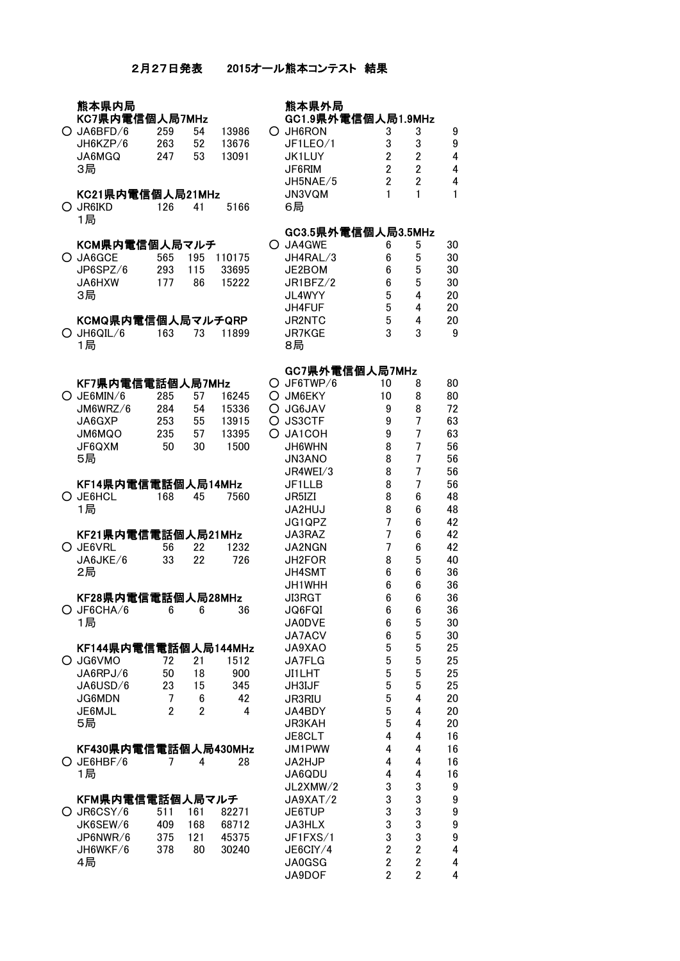# 2月27日発表 2015オール熊本コンテスト 結果

| 熊本県内局<br>KC7県内電信個人局7MHz |                |                |        |  | 熊本県外局<br>GC1.9県外電信個人局1.9MHz |                |                |                |
|-------------------------|----------------|----------------|--------|--|-----------------------------|----------------|----------------|----------------|
|                         |                |                |        |  |                             |                |                |                |
| O JA6BFD/6              | 259            | 54             | 13986  |  | O JH6RON                    | 3              | 3              | 9              |
| JH6KZP/6                | 263            | 52             | 13676  |  | JF1LEO/1                    | 3              | 3              | 9              |
| JA6MGQ                  | 247            | 53             | 13091  |  | JK1LUY                      | $\overline{2}$ | $\overline{2}$ | 4              |
| 3局                      |                |                |        |  | JF6RIM                      | $\overline{2}$ | $\overline{2}$ | 4              |
|                         |                |                |        |  | JH5NAE/5                    | $\overline{2}$ | $\overline{2}$ | $\overline{4}$ |
| KC21県内電信個人局21MHz        |                |                |        |  | JN3VQM                      | 1              | 1              | 1              |
| O JR6IKD                | 126            | 41             | 5166   |  | 6局                          |                |                |                |
| 1局                      |                |                |        |  |                             |                |                |                |
|                         |                |                |        |  | GC3.5県外電信個人局3.5MHz          |                |                |                |
| KCM県内電信個人局マルチ           |                |                |        |  | O JA4GWE                    | 6              | 5              | 30             |
| O JA6GCE                | 565            | 195            | 110175 |  | JH4RAL/3                    | 6              | 5              | 30             |
| JP6SPZ/6                | 293            | 115            | 33695  |  | JE2BOM                      | 6              | 5              | 30             |
| JA6HXW                  | 177            | 86             | 15222  |  | JR1BFZ/2                    | 6              | 5              | 30             |
| 3局                      |                |                |        |  | JL4WYY                      | 5              | 4              | 20             |
|                         |                |                |        |  | JH4FUF                      | 5              | 4              | 20             |
| KCMQ県内電信個人局マルチQRP       |                |                |        |  | JR2NTC                      | 5              | 4              | 20             |
| $O$ JH6QIL/6            | 163            | 73             | 11899  |  | <b>JR7KGE</b>               | 3              | 3              | 9              |
| 1局                      |                |                |        |  | 8局                          |                |                |                |
|                         |                |                |        |  |                             |                |                |                |
|                         |                |                |        |  | GC7県外電信個人局7MHz              |                |                |                |
| KF7県内電信電話個人局7MHz        |                |                |        |  | O JF6TWP/6                  | 10             | 8              | 80             |
| $O$ JE6MIN/6            | 285            | 57             | 16245  |  | O JM6EKY                    | 10             | 8              | 80             |
| JM6WRZ/6                | 284            | 54             | 15336  |  | O JG6JAV                    | 9              | 8              | 72             |
| JA6GXP                  | 253            | 55             | 13915  |  | O JS3CTF                    | 9              | $\overline{7}$ | 63             |
| JM6MQO                  | 235            | 57             | 13395  |  | O JA1COH                    | 9              | $\overline{7}$ | 63             |
| JF6QXM                  | 50             | 30             | 1500   |  | JH6WHN                      | 8              | $\overline{7}$ | 56             |
| 5局                      |                |                |        |  | <b>JN3ANO</b>               | 8              | $\overline{7}$ | 56             |
|                         |                |                |        |  | JR4WEI/3                    | 8              | 7              | 56             |
| KF14県内電信電話個人局14MHz      |                |                |        |  | JF1LLB                      | 8              | 7              | 56             |
| O JE6HCL                | 168            | 45             | 7560   |  | JR5IZI                      | 8              | 6              | 48             |
| 1局                      |                |                |        |  | JA2HUJ                      | 8              | 6              | 48             |
|                         |                |                |        |  | JG1QPZ                      | $\overline{7}$ | 6              | 42             |
| KF21県内電信電話個人局21MHz      |                |                |        |  | JA3RAZ                      | $\overline{7}$ | 6              | 42             |
| O JE6VRL                | 56             | 22             | 1232   |  | JA2NGN                      | $\overline{7}$ | 6              | 42             |
| JA6JKE/6                | 33             | 22             | 726    |  | JH2FOR                      | 8              | 5              | 40             |
| 2局                      |                |                |        |  | JH4SMT                      | 6              | $6\phantom{1}$ | 36             |
|                         |                |                |        |  | JH1WHH                      | 6              | 6              | 36             |
|                         |                |                |        |  |                             |                |                |                |
| KF28県内電信電話個人局28MHz      |                |                |        |  | JI3RGT                      | 6              | 6              | 36             |
| $O$ JF6CHA/6 6 6        |                |                | 36     |  | JQ6FQI                      | 6              | 6              | 36             |
| 1局                      |                |                |        |  | <b>JA0DVE</b>               | 6              | 5              | 30             |
|                         |                |                |        |  | JA7ACV                      | 6              | 5              | 30             |
| KF144県内電信電話個人局144MHz    |                |                |        |  | JA9XAO                      | 5              | 5              | 25             |
| O JG6VMO                | 72             | 21             | 1512   |  | JA7FLG                      | 5              | 5              | 25             |
| JA6RPJ/6                | 50             | 18             | 900    |  | <b>JI1LHT</b>               | 5              | 5              | 25             |
| JA6USD/6                | 23             | 15             | 345    |  | JH3IJF                      | 5              | 5              | 25             |
| JG6MDN                  | 7              | 6              | 42     |  | JR3RIU                      | 5              | 4              | 20             |
| JE6MJL                  | $\overline{2}$ | $\overline{2}$ | 4      |  | JA4BDY                      | 5              | 4              | 20             |
| 5局                      |                |                |        |  | <b>JR3KAH</b>               | 5              | 4              | 20             |
|                         |                |                |        |  | JE8CLT                      | 4              | 4              | 16             |
| KF430県内電信電話個人局430MHz    |                |                |        |  | JM1PWW                      | 4              | 4              | 16             |
| O JE6HBF/6              | 7              | 4              | 28     |  | JA2HJP                      | 4              | 4              | 16             |
| 1局                      |                |                |        |  | JA6QDU                      | 4              | 4              | 16             |
|                         |                |                |        |  | JL2XMW/2                    | 3              | 3              | 9              |
| KFM県内電信電話個人局マルチ         |                |                |        |  | JA9XAT/2                    | 3              | 3              | 9              |
| O JR6CSY/6              | 511            | 161            | 82271  |  | JE6TUP                      | 3              | 3              | 9              |
| JK6SEW/6                | 409            | 168            | 68712  |  | JA3HLX                      | 3              | 3              | 9              |
| JP6NWR/6                | 375            | 121            | 45375  |  | JF1FXS/1                    | 3              | 3              | 9              |
| JH6WKF/6                | 378            | 80             | 30240  |  | JE6CIY/4                    | $\overline{2}$ | $\overline{2}$ | 4              |
| ᇫᆯ                      |                |                |        |  | 10000                       | <sup>n</sup>   | <sup>n</sup>   | $\lambda$      |

| JH6RON        | 3 | 3 | 9 |
|---------------|---|---|---|
| JF1LEO/1      | 3 | 3 | 9 |
| <b>JK1LUY</b> | 2 | 2 | 4 |
| JF6RIM        | 2 | 2 | 4 |
| JH5NAE/5      | 2 | 2 | 4 |
| JN3VQM        |   |   | 1 |
| 6局            |   |   |   |

#### GC3.5県外電信個人局3.5MHz

| JA4GWE        | 6 | 5 | 30 |
|---------------|---|---|----|
| JH4RAL/3      | 6 | 5 | 30 |
| JE2BOM        | 6 | 5 | 30 |
| JR1BFZ/2      | 6 | 5 | 30 |
| JL4WYY        | 5 | 4 | 20 |
| <b>JH4FUF</b> | 5 | 4 | 20 |
| <b>JR2NTC</b> | 5 | 4 | 20 |
| <b>JR7KGE</b> | 3 | 3 | 9  |
| 8局            |   |   |    |

# GC7県外電信個人局7MHz

|                      |                |                |       |   | <b>GU/乐外电佰個人向/MHZ</b> |                |                |                |
|----------------------|----------------|----------------|-------|---|-----------------------|----------------|----------------|----------------|
| KF7県内電信電話個人局7MHz     |                |                |       | O | JF6TWP/6              | 10             | 8              | 80             |
| JE6MIN/6             | 285            | 57             | 16245 |   | O JM6EKY              | 10             | 8              | 80             |
| JM6WRZ/6             | 284            | 54             | 15336 |   | O JG6JAV              | 9              | 8              | 72             |
| JA6GXP               | 253            | 55             | 13915 |   | O JS3CTF              | 9              | $\overline{7}$ | 63             |
| OQM6MU               | 235            | 57             | 13395 | O | JA1COH                | 9              | $\overline{7}$ | 63             |
| JF6QXM               | 50             | 30             | 1500  |   | JH6WHN                | 8              | 7              | 56             |
| 5局                   |                |                |       |   | <b>JN3ANO</b>         | 8              | $\overline{7}$ | 56             |
|                      |                |                |       |   | JR4WEI/3              | 8              | $\overline{7}$ | 56             |
| KF14県内電信電話個人局14MHz   |                |                |       |   | JF1LLB                | 8              | $\overline{7}$ | 56             |
| JE6HCL               | 168            | 45             | 7560  |   | JR5IZI                | 8              | 6              | 48             |
| 1局                   |                |                |       |   | JA2HUJ                | 8              | 6              | 48             |
|                      |                |                |       |   | JG1QPZ                | 7              | 6              | 42             |
| KF21県内電信電話個人局21MHz   |                |                |       |   | JA3RAZ                | 7              | 6              | 42             |
| JE6VRL               | 56             | 22             | 1232  |   | JA2NGN                | $\overline{7}$ | 6              | 42             |
| JA6JKE/6             | 33             | 22             | 726   |   | JH2FOR                | 8              | 5              | 40             |
| 2局                   |                |                |       |   | <b>JH4SMT</b>         | 6              | 6              | 36             |
|                      |                |                |       |   | JH1WHH                | 6              | 6              | 36             |
| KF28県内電信電話個人局28MHz   |                |                |       |   | <b>JI3RGT</b>         | 6              | 6              | 36             |
| JF6CHA/6             | 6              | 6              | 36    |   | JQ6FQI                | 6              | 6              | 36             |
| 1局                   |                |                |       |   | <b>JA0DVE</b>         | 6              | 5              | 30             |
|                      |                |                |       |   | JA7ACV                | 6              | 5              | 30             |
| KF144県内電信電話個人局144MHz |                |                |       |   | JA9XAO                | 5              | 5              | 25             |
| JG6VMO               | 72             | 21             | 1512  |   | JA7FLG                | 5              | 5              | 25             |
| JA6RPJ/6             | 50             | 18             | 900   |   | JI1LHT                | 5              | 5              | 25             |
| JA6USD/6             | 23             | 15             | 345   |   | JH3IJF                | 5              | 5              | 25             |
| <b>JG6MDN</b>        | 7              | 6              | 42    |   | JR3RIU                | 5              | 4              | 20             |
| JE6MJL               | $\overline{2}$ | $\overline{2}$ | 4     |   | JA4BDY                | 5              | 4              | 20             |
| 5局                   |                |                |       |   | <b>JR3KAH</b>         | 5              | 4              | 20             |
|                      |                |                |       |   | JE8CLT                | 4              | 4              | 16             |
| KF430県内電信電話個人局430MHz |                |                |       |   | JM1PWW                | 4              | 4              | 16             |
| JE6HBF/6             | 7              | 4              | 28    |   | JA2HJP                | 4              | 4              | 16             |
| 1局                   |                |                |       |   | JA6QDU                | 4              | 4              | 16             |
|                      |                |                |       |   | JL2XMW/2              | 3              | 3              | 9              |
| KFM県内電信電話個人局マルチ      |                |                |       |   | JA9XAT/2              | 3              | 3              | 9              |
| JR6CSY/6             | 511            | 161            | 82271 |   | JE6TUP                | 3              | 3              | 9              |
| JK6SEW/6             | 409            | 168            | 68712 |   | JA3HLX                | 3              | 3              | 9              |
| JP6NWR/6             | 375            | 121            | 45375 |   | JF1FXS/1              | 3              | 3              | 9              |
| JH6WKF/6             | 378            | 80             | 30240 |   | JE6CIY/4              | $\overline{2}$ | $\overline{2}$ | 4              |
| 4局                   |                |                |       |   | JA0GSG                | $\overline{2}$ | $\overline{2}$ | $\overline{4}$ |
|                      |                |                |       |   | JA9DOF                | $\overline{2}$ | $\overline{2}$ | 4              |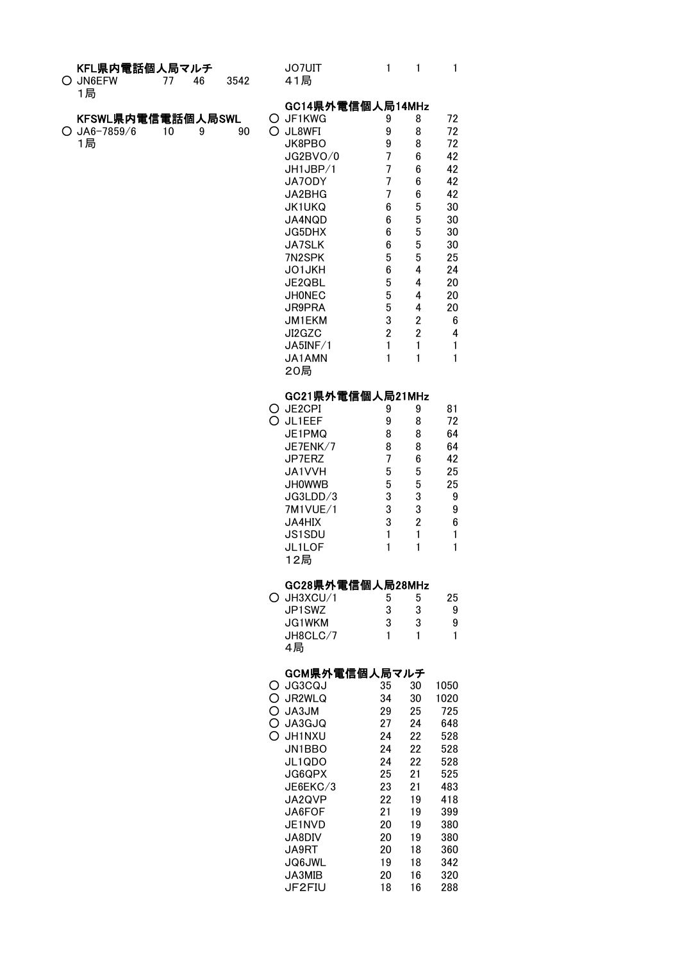#### K**FL県内電話個人局マルチ** JO7UIT 1 1 1

| O JN6EFW | -46 | -3542 | 41局 |
|----------|-----|-------|-----|
| 1局       |     |       |     |

|   | O JN6EFW<br>1局           | 77 | 46 | 3542 |   | 41局              |                |                |    |
|---|--------------------------|----|----|------|---|------------------|----------------|----------------|----|
|   |                          |    |    |      |   | GC14県外電信個人局14MHz |                |                |    |
|   | <b>KFSWL県内電信電話個人局SWL</b> |    |    |      |   | O JF1KWG         | 9              | 8              | 72 |
| O | $J$ A6-7859/6            | 10 | 9  | 90   |   | O JL8WFI         | 9              | 8              | 72 |
|   | 1局                       |    |    |      |   | JK8PBO           | 9              | 8              | 72 |
|   |                          |    |    |      |   | JG2BVO/0         | 7              | 6              | 42 |
|   |                          |    |    |      |   | JH1JBP/1         | 7              | 6              | 42 |
|   |                          |    |    |      |   | JA7ODY           | $\overline{7}$ | 6              | 42 |
|   |                          |    |    |      |   | JA2BHG           | 7              | 6              | 42 |
|   |                          |    |    |      |   | <b>JK1UKQ</b>    | 6              | 5              | 30 |
|   |                          |    |    |      |   | JA4NQD           | 6              | 5              | 30 |
|   |                          |    |    |      |   | JG5DHX           | 6              | 5              | 30 |
|   |                          |    |    |      |   | JA7SLK           | 6              | 5              | 30 |
|   |                          |    |    |      |   | 7N2SPK           | 5              | 5              | 25 |
|   |                          |    |    |      |   | JO1JKH           | 6              | 4              | 24 |
|   |                          |    |    |      |   | JE2QBL           | 5              | 4              | 20 |
|   |                          |    |    |      |   | <b>JHONEC</b>    | 5              | 4              | 20 |
|   |                          |    |    |      |   | JR9PRA           | 5              | 4              | 20 |
|   |                          |    |    |      |   | JM1EKM           | 3              | $\overline{2}$ | 6  |
|   |                          |    |    |      |   | JI2GZC           | $\overline{2}$ | $\overline{2}$ | 4  |
|   |                          |    |    |      |   | JA5INF/1         | 1              | 1              | 1  |
|   |                          |    |    |      |   | JA1AMN           | 1              | 1              | 1  |
|   |                          |    |    |      |   | 20局              |                |                |    |
|   |                          |    |    |      |   | GC21県外電信個人局21MHz |                |                |    |
|   |                          |    |    |      |   | O JE2CPI         | 9              | 9              | 81 |
|   |                          |    |    |      | ∩ | JL1EEF           | 9              | 8              | 72 |
|   |                          |    |    |      |   | JE1PMQ           | 8              | 8              | 64 |
|   |                          |    |    |      |   | JE7ENK/7         | 8              | 8              | 64 |
|   |                          |    |    |      |   | JP7ERZ           | 7              | 6              | 42 |
|   |                          |    |    |      |   |                  |                |                |    |

|               | ີ | ີ | ◡  |
|---------------|---|---|----|
| JP7ERZ        |   | 6 | 42 |
| JA1VVH        | 5 | 5 | 25 |
| <b>JHOWWB</b> | 5 | 5 | 25 |
| JG3LDD/3      | 3 | 3 | 9  |
| 7M1VUE/1      | 3 | 3 | 9  |
| <b>JA4HIX</b> | 3 | 2 | 6  |
| JS1SDU        |   |   |    |
| JL1LOF        |   |   |    |
| 12局           |   |   |    |

## GC28県外電信個人局28MHz

| $O$ JH3XCU/1  | b | ۰. | 25 |
|---------------|---|----|----|
| JP1SWZ        | 3 | з  | g  |
| <b>JG1WKM</b> | 3 | З  | g  |
| JH8CLC/7      |   |    |    |
| 4局            |   |    |    |

# GCM県外電信個人局マルチ

| O  | JG3CQJ        | 35 | 30 | 1050 |
|----|---------------|----|----|------|
| O  | JR2WLQ        | 34 | 30 | 1020 |
| O  | JA3JM         | 29 | 25 | 725  |
| O  | JA3GJQ        | 27 | 24 | 648  |
| O. | <b>JH1NXU</b> | 24 | 22 | 528  |
|    | JN1BBO        | 24 | 22 | 528  |
|    | JL1QDO        | 24 | 22 | 528  |
|    | JG6QPX        | 25 | 21 | 525  |
|    | JE6EKC/3      | 23 | 21 | 483  |
|    | JA2QVP        | 22 | 19 | 418  |
|    | JA6FOF        | 21 | 19 | 399  |
|    | JE1NVD        | 20 | 19 | 380  |
|    | JA8DIV        | 20 | 19 | 380  |
|    | JA9RT         | 20 | 18 | 360  |
|    | JQ6JWL        | 19 | 18 | 342  |
|    | JA3MIB        | 20 | 16 | 320  |
|    | JF2FIU        | 18 | 16 | 288  |
|    |               |    |    |      |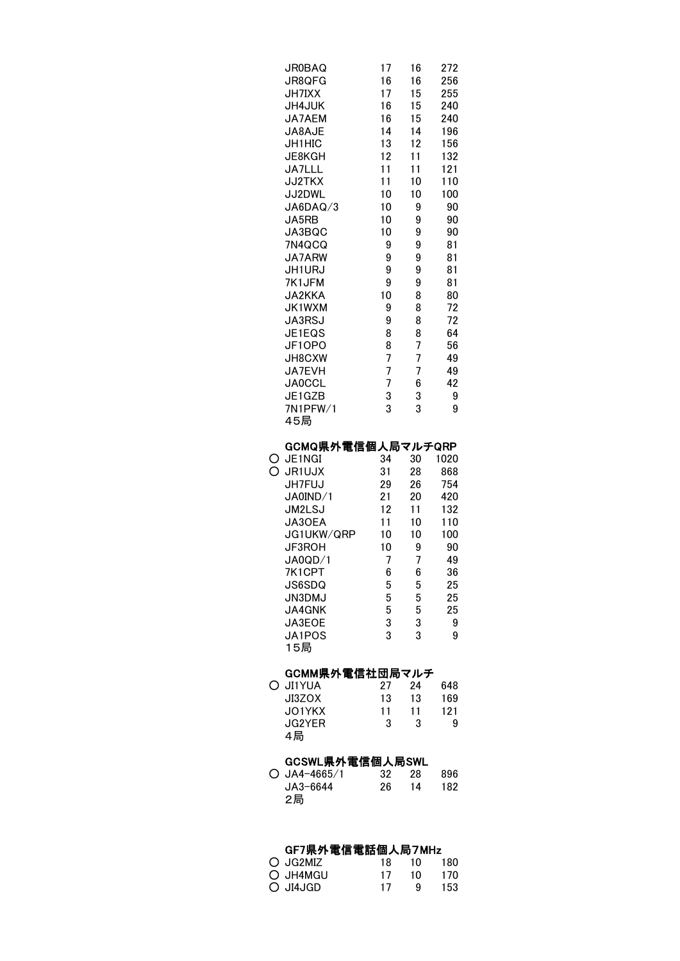|   | <b>JR0BAQ</b><br>JR8QFG<br><b>JH7IXX</b><br>JH4JUK<br>JA7AEM<br>JA8AJE<br>JH1HIC<br>JE8KGH<br>JA7LLL<br><b>JJ2TKX</b><br>JJ2DWL<br>JA6DAQ/3<br>JA5RB<br>JA3BQC<br><b>7N4QCQ</b><br>JA7ARW<br>JH1URJ<br>7K1JFM<br>JA2KKA<br>JK1WXM<br>JA3RSJ<br>JE1EQS<br>JF10P0<br>JH8CXW<br>JA7EVH<br><b>JA0CCL</b><br>JE1GZB<br>7N1PFW/1<br>45局 | 17<br>16<br>17<br>16<br>16<br>14<br>13<br>12<br>11<br>11<br>10<br>10<br>10<br>10<br>9<br>9<br>9<br>9<br>10<br>9<br>9<br>8<br>8<br>7<br>7<br>7<br>3<br>3 | 16<br>16<br>15<br>15<br>15<br>14<br>12<br>11<br>11<br>10<br>10<br>9<br>9<br>9<br>9<br>9<br>9<br>9<br>8<br>8<br>8<br>8<br>7<br>7<br>7<br>6<br>3<br>3 | 272<br>256<br>255<br>240<br>240<br>196<br>156<br>132<br>121<br>110<br>100<br>90<br>90<br>90<br>81<br>81<br>81<br>81<br>80<br>72<br>72<br>64<br>56<br>49<br>49<br>42<br>9<br>9 |
|---|-----------------------------------------------------------------------------------------------------------------------------------------------------------------------------------------------------------------------------------------------------------------------------------------------------------------------------------|---------------------------------------------------------------------------------------------------------------------------------------------------------|-----------------------------------------------------------------------------------------------------------------------------------------------------|-------------------------------------------------------------------------------------------------------------------------------------------------------------------------------|
| Ç | GCMQ県外電信個人局マルチQRP<br>JE1NGI<br><b>JR1UJX</b><br>JH7FUJ<br>JA0IND/1<br>JM2LSJ<br>JA30EA<br>JG1UKW/QRP<br>JF3ROH<br>JA0QD/1<br>7K1CPT<br>JS6SDQ<br><b>JN3DMJ</b><br>JA4GNK<br>JA3EOE<br>JA1POS<br>15局                                                                                                                               | 34<br>31<br>29<br>21<br>12<br>11<br>10<br>10<br>7<br>6<br>5<br>5<br>5<br>3<br>3                                                                         | 30<br>28<br>26<br>20<br>11<br>10<br>10<br>9<br>7<br>6<br>5<br>5<br>5<br>3<br>3                                                                      | 1020<br>868<br>754<br>420<br>132<br>110<br>100<br>90<br>49<br>36<br>25<br>25<br>25<br>9<br>9                                                                                  |
|   | GCMM県外電信社団局マルチ<br><b>JI1YUA</b><br>JI3ZOX<br>JO1YKX<br>JG2YER<br>4局                                                                                                                                                                                                                                                               | 27<br>13<br>11<br>3                                                                                                                                     | 24<br>13<br>11<br>3                                                                                                                                 | 648<br>169<br>121<br>9                                                                                                                                                        |
| C | GCSWL県外電信個人局SWL<br>$JA4 - 4665/1$<br>JA3-6644<br>2局                                                                                                                                                                                                                                                                               | 32<br>26                                                                                                                                                | 28<br>14                                                                                                                                            | 896<br>182                                                                                                                                                                    |

# GF7県外電信電話個人局7MHz

| $\bigcirc$ JG2MIZ | 18 | 10 | 180 |
|-------------------|----|----|-----|
| O JH4MGU          | 17 | 10 | 170 |
| O JI4JGD          | 17 | ч  | 153 |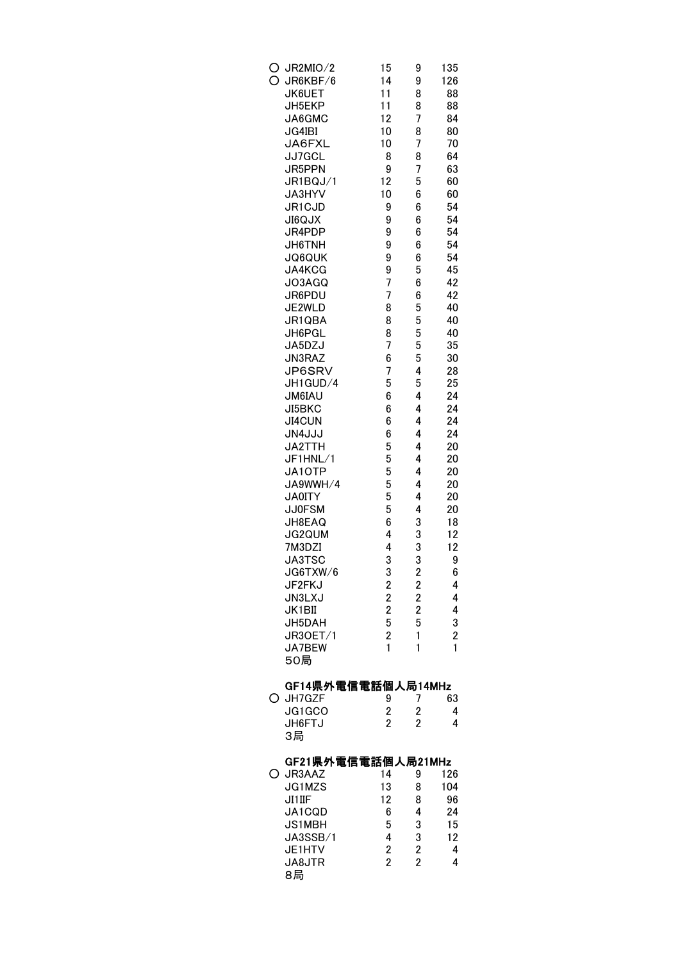| C | JR2MIO/2<br>JR6KBF/6<br><b>JK6UET</b><br>JH5EKP<br>JA6GMC<br><b>JG4IBI</b><br>JA6FXL<br>JJ7GCL<br>JR5PPN<br>JR1BQJ/1<br>JA3HYV<br>JR1CJD<br><b>XLO9IL</b><br>JR4PDP<br>JH6TNH<br><b>JQ6QUK</b><br>JA4KCG<br>JO3AGQ<br>JR6PDU<br>JE2WLD<br>JR1QBA<br>JH6PGL<br>JA5DZJ<br>JN3RAZ<br>JP6SRV<br>JH1GUD/4<br><b>JM6IAU</b><br>JI5BKC<br><b>JI4CUN</b><br><b>JN4JJJ</b><br>JA2TTH<br>JF1HNL/1<br>JA10TP<br>JA9WWH/4<br><b>JA0ITY</b><br><b>JJ0FSM</b><br>JH8EAQ<br><b>JG2QUM</b><br>7M3DZI<br><b>JA3TSC</b><br>JG6TXW/6<br>JF2FKJ<br>JN3LXJ | 15<br>14<br>11<br>11<br>12<br>10<br>10<br>8<br>9<br>12<br>10<br>9<br>9<br>9<br>9<br>9<br>9<br>7<br>7<br>8<br>8<br>8<br>7<br>6<br>7<br>5<br>6<br>6<br>6<br>6<br>5<br>5<br>5<br>5<br>5<br>5<br>6<br>4<br>4<br>3<br>3 | 9<br>9<br>8<br>8<br>7<br>8<br>7<br>8<br>7<br>5<br>6<br>6<br>6<br>6<br>6<br>6<br>5<br>6<br>6<br>5<br>5<br>5<br>5<br>5<br>4<br>5<br>4<br>4<br>4<br>4<br>4<br>4<br>4<br>4<br>4<br>4<br>3<br>3<br>3<br>3<br>$\overline{2}$ | 135<br>126<br>88<br>88<br>84<br>80<br>70<br>64<br>63<br>60<br>60<br>54<br>54<br>54<br>54<br>54<br>45<br>42<br>42<br>40<br>40<br>40<br>35<br>30<br>28<br>25<br>24<br>24<br>24<br>24<br>20<br>20<br>20<br>20<br>20<br>20<br>18<br>12<br>12<br>9<br>6<br>4<br>4 |
|---|---------------------------------------------------------------------------------------------------------------------------------------------------------------------------------------------------------------------------------------------------------------------------------------------------------------------------------------------------------------------------------------------------------------------------------------------------------------------------------------------------------------------------------------|--------------------------------------------------------------------------------------------------------------------------------------------------------------------------------------------------------------------|------------------------------------------------------------------------------------------------------------------------------------------------------------------------------------------------------------------------|--------------------------------------------------------------------------------------------------------------------------------------------------------------------------------------------------------------------------------------------------------------|
|   | JK1BII<br>JH5DAH<br>JR3OET/1<br>JA7BEW<br>50局                                                                                                                                                                                                                                                                                                                                                                                                                                                                                         | $\begin{array}{c} 2 \\ 2 \\ 2 \\ 5 \end{array}$<br>$\overline{\mathbf{c}}$<br>$\mathbf{1}$                                                                                                                         | $222$<br>$25$<br>$\mathbf{1}$<br>1                                                                                                                                                                                     | 4<br>3<br>$\overline{\mathbf{c}}$<br>1                                                                                                                                                                                                                       |
|   | GF14県外電信電話個人局14MHz                                                                                                                                                                                                                                                                                                                                                                                                                                                                                                                    |                                                                                                                                                                                                                    |                                                                                                                                                                                                                        |                                                                                                                                                                                                                                                              |
|   | JH7GZF                                                                                                                                                                                                                                                                                                                                                                                                                                                                                                                                | 9                                                                                                                                                                                                                  | 7                                                                                                                                                                                                                      | 63                                                                                                                                                                                                                                                           |
|   | JG1GCO<br>JH6FTJ<br>3局                                                                                                                                                                                                                                                                                                                                                                                                                                                                                                                | $\overline{\mathbf{c}}$<br>$\overline{2}$                                                                                                                                                                          | $\overline{\mathbf{c}}$<br>$\overline{2}$                                                                                                                                                                              | 4<br>4                                                                                                                                                                                                                                                       |
|   | GF21県外電信電話個人局21MHz<br>JR3AAZ                                                                                                                                                                                                                                                                                                                                                                                                                                                                                                          | 14                                                                                                                                                                                                                 | 9                                                                                                                                                                                                                      | 126                                                                                                                                                                                                                                                          |
|   | JG1MZS                                                                                                                                                                                                                                                                                                                                                                                                                                                                                                                                | 13<br>12                                                                                                                                                                                                           | 8                                                                                                                                                                                                                      | 104                                                                                                                                                                                                                                                          |
|   | JI1IIF<br>JA1CQD                                                                                                                                                                                                                                                                                                                                                                                                                                                                                                                      | 6                                                                                                                                                                                                                  | 8<br>4                                                                                                                                                                                                                 | 96<br>24                                                                                                                                                                                                                                                     |
|   | <b>JS1MBH</b>                                                                                                                                                                                                                                                                                                                                                                                                                                                                                                                         | 5                                                                                                                                                                                                                  | 3                                                                                                                                                                                                                      | 15                                                                                                                                                                                                                                                           |
|   | JA3SSB/1<br>JE1HTV                                                                                                                                                                                                                                                                                                                                                                                                                                                                                                                    | 4<br>2                                                                                                                                                                                                             | 3                                                                                                                                                                                                                      | 12<br>4                                                                                                                                                                                                                                                      |
|   | JA8JTR<br>8局                                                                                                                                                                                                                                                                                                                                                                                                                                                                                                                          | $\overline{2}$                                                                                                                                                                                                     | $\frac{2}{2}$                                                                                                                                                                                                          | 4                                                                                                                                                                                                                                                            |